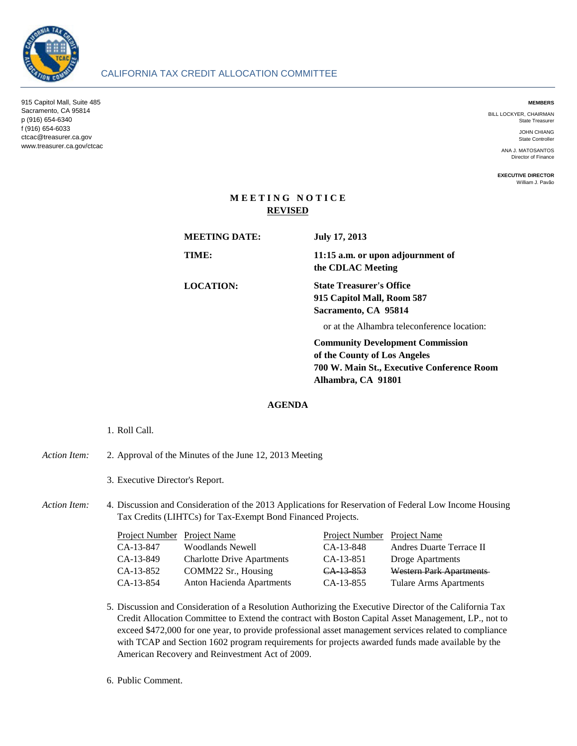

915 Capitol Mall, Suite 485 Sacramento, CA 95814 p (916) 654-6340 f (916) 654-6033 ctcac@treasurer.ca.gov www.treasurer.ca.gov/ctcac

BILL LOCKYER, CHAIRMAN State Treasurer

> JOHN CHIANG State Controlle

ANA J. MATOSANTOS Director of Finance

**EXECUTIVE DIRECTOR** William J. Pavão

# **M E E T I N G N O T I C E REVISED**

CALIFORNIA TAX CREDIT ALLOCATION COMMITTEE

| <b>MEETING DATE:</b> | <b>July 17, 2013</b>                                                                                                  |  |
|----------------------|-----------------------------------------------------------------------------------------------------------------------|--|
| TIME:                | 11:15 a.m. or upon adjournment of<br>the CDLAC Meeting                                                                |  |
| <b>LOCATION:</b>     | <b>State Treasurer's Office</b><br>915 Capitol Mall, Room 587<br>Sacramento, CA 95814                                 |  |
|                      | or at the Alhambra teleconference location:                                                                           |  |
|                      | <b>Community Development Commission</b><br>of the County of Los Angeles<br>700 W. Main St., Executive Conference Room |  |

**Alhambra, CA 91801**

## **AGENDA**

## 1. Roll Call.

#### *Action Item:* 2. Approval of the Minutes of the June 12, 2013 Meeting

3. Executive Director's Report.

### Action Item: Discussion and Consideration of the 2013 Applications for Reservation of Federal Low Income Housing Tax Credits (LIHTCs) for Tax-Exempt Bond Financed Projects.

| Project Number Project Name |                                   | Project Number Project Name |                          |
|-----------------------------|-----------------------------------|-----------------------------|--------------------------|
| CA-13-847                   | <b>Woodlands Newell</b>           | $CA-13-848$                 | Andres Duarte Terrace II |
| CA-13-849                   | <b>Charlotte Drive Apartments</b> | CA-13-851                   | Droge Apartments         |
| CA-13-852                   | COMM22 Sr., Housing               | CA 13 853                   | Western Park Apartments  |
| CA-13-854                   | Anton Hacienda Apartments         | CA-13-855                   | Tulare Arms Apartments   |

- 5. Discussion and Consideration of a Resolution Authorizing the Executive Director of the California Tax Credit Allocation Committee to Extend the contract with Boston Capital Asset Management, LP., not to exceed \$472,000 for one year, to provide professional asset management services related to compliance with TCAP and Section 1602 program requirements for projects awarded funds made available by the American Recovery and Reinvestment Act of 2009.
- 6. Public Comment.